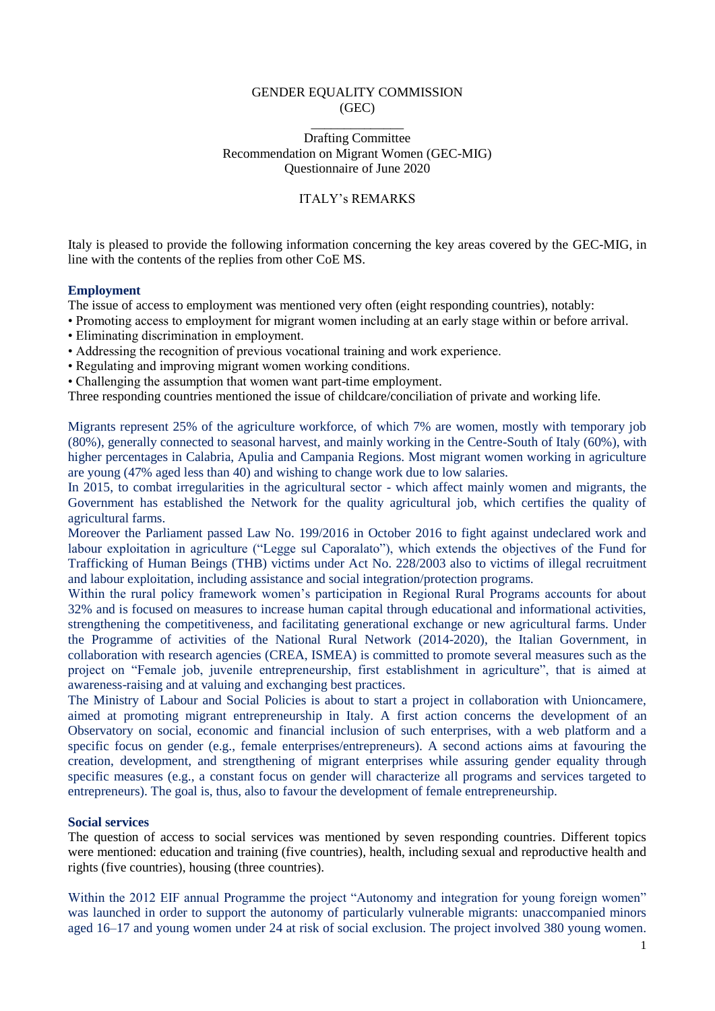### GENDER EQUALITY COMMISSION (GEC)

### \_\_\_\_\_\_\_\_\_\_\_\_\_\_ Drafting Committee Recommendation on Migrant Women (GEC-MIG) Questionnaire of June 2020

# ITALY's REMARKS

Italy is pleased to provide the following information concerning the key areas covered by the GEC-MIG, in line with the contents of the replies from other CoE MS.

## **Employment**

The issue of access to employment was mentioned very often (eight responding countries), notably:

- Promoting access to employment for migrant women including at an early stage within or before arrival.
- Eliminating discrimination in employment.
- Addressing the recognition of previous vocational training and work experience.
- Regulating and improving migrant women working conditions.
- Challenging the assumption that women want part-time employment.

Three responding countries mentioned the issue of childcare/conciliation of private and working life.

Migrants represent 25% of the agriculture workforce, of which 7% are women, mostly with temporary job (80%), generally connected to seasonal harvest, and mainly working in the Centre-South of Italy (60%), with higher percentages in Calabria, Apulia and Campania Regions. Most migrant women working in agriculture are young (47% aged less than 40) and wishing to change work due to low salaries.

In 2015, to combat irregularities in the agricultural sector - which affect mainly women and migrants, the Government has established the Network for the quality agricultural job, which certifies the quality of agricultural farms.

Moreover the Parliament passed Law No. 199/2016 in October 2016 to fight against undeclared work and labour exploitation in agriculture ("Legge sul Caporalato"), which extends the objectives of the Fund for Trafficking of Human Beings (THB) victims under Act No. 228/2003 also to victims of illegal recruitment and labour exploitation, including assistance and social integration/protection programs.

Within the rural policy framework women's participation in Regional Rural Programs accounts for about 32% and is focused on measures to increase human capital through educational and informational activities, strengthening the competitiveness, and facilitating generational exchange or new agricultural farms. Under the Programme of activities of the National Rural Network (2014-2020), the Italian Government, in collaboration with research agencies (CREA, ISMEA) is committed to promote several measures such as the project on "Female job, juvenile entrepreneurship, first establishment in agriculture", that is aimed at awareness-raising and at valuing and exchanging best practices.

The Ministry of Labour and Social Policies is about to start a project in collaboration with Unioncamere, aimed at promoting migrant entrepreneurship in Italy. A first action concerns the development of an Observatory on social, economic and financial inclusion of such enterprises, with a web platform and a specific focus on gender (e.g., female enterprises/entrepreneurs). A second actions aims at favouring the creation, development, and strengthening of migrant enterprises while assuring gender equality through specific measures (e.g., a constant focus on gender will characterize all programs and services targeted to entrepreneurs). The goal is, thus, also to favour the development of female entrepreneurship.

# **Social services**

The question of access to social services was mentioned by seven responding countries. Different topics were mentioned: education and training (five countries), health, including sexual and reproductive health and rights (five countries), housing (three countries).

Within the 2012 EIF annual Programme the project "Autonomy and integration for young foreign women" was launched in order to support the autonomy of particularly vulnerable migrants: unaccompanied minors aged 16–17 and young women under 24 at risk of social exclusion. The project involved 380 young women.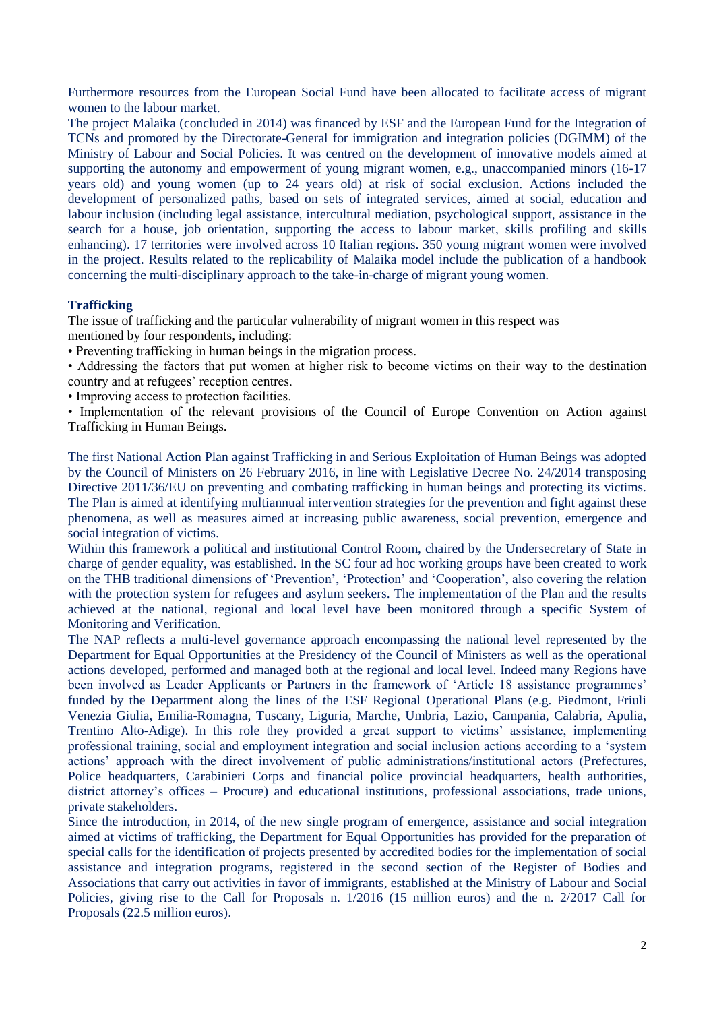Furthermore resources from the European Social Fund have been allocated to facilitate access of migrant women to the labour market.

The project Malaika (concluded in 2014) was financed by ESF and the European Fund for the Integration of TCNs and promoted by the Directorate-General for immigration and integration policies (DGIMM) of the Ministry of Labour and Social Policies. It was centred on the development of innovative models aimed at supporting the autonomy and empowerment of young migrant women, e.g., unaccompanied minors (16-17 years old) and young women (up to 24 years old) at risk of social exclusion. Actions included the development of personalized paths, based on sets of integrated services, aimed at social, education and labour inclusion (including legal assistance, intercultural mediation, psychological support, assistance in the search for a house, job orientation, supporting the access to labour market, skills profiling and skills enhancing). 17 territories were involved across 10 Italian regions. 350 young migrant women were involved in the project. Results related to the replicability of Malaika model include the publication of a handbook concerning the multi-disciplinary approach to the take-in-charge of migrant young women.

# **Trafficking**

The issue of trafficking and the particular vulnerability of migrant women in this respect was mentioned by four respondents, including:

• Preventing trafficking in human beings in the migration process.

• Addressing the factors that put women at higher risk to become victims on their way to the destination country and at refugees' reception centres.

• Improving access to protection facilities.

• Implementation of the relevant provisions of the Council of Europe Convention on Action against Trafficking in Human Beings.

The first National Action Plan against Trafficking in and Serious Exploitation of Human Beings was adopted by the Council of Ministers on 26 February 2016, in line with Legislative Decree No. 24/2014 transposing Directive 2011/36/EU on preventing and combating trafficking in human beings and protecting its victims. The Plan is aimed at identifying multiannual intervention strategies for the prevention and fight against these phenomena, as well as measures aimed at increasing public awareness, social prevention, emergence and social integration of victims.

Within this framework a political and institutional Control Room, chaired by the Undersecretary of State in charge of gender equality, was established. In the SC four ad hoc working groups have been created to work on the THB traditional dimensions of 'Prevention', 'Protection' and 'Cooperation', also covering the relation with the protection system for refugees and asylum seekers. The implementation of the Plan and the results achieved at the national, regional and local level have been monitored through a specific System of Monitoring and Verification.

The NAP reflects a multi-level governance approach encompassing the national level represented by the Department for Equal Opportunities at the Presidency of the Council of Ministers as well as the operational actions developed, performed and managed both at the regional and local level. Indeed many Regions have been involved as Leader Applicants or Partners in the framework of 'Article 18 assistance programmes' funded by the Department along the lines of the ESF Regional Operational Plans (e.g. Piedmont, Friuli Venezia Giulia, Emilia-Romagna, Tuscany, Liguria, Marche, Umbria, Lazio, Campania, Calabria, Apulia, Trentino Alto-Adige). In this role they provided a great support to victims' assistance, implementing professional training, social and employment integration and social inclusion actions according to a 'system actions' approach with the direct involvement of public administrations/institutional actors (Prefectures, Police headquarters, Carabinieri Corps and financial police provincial headquarters, health authorities, district attorney's offices – Procure) and educational institutions, professional associations, trade unions, private stakeholders.

Since the introduction, in 2014, of the new single program of emergence, assistance and social integration aimed at victims of trafficking, the Department for Equal Opportunities has provided for the preparation of special calls for the identification of projects presented by accredited bodies for the implementation of social assistance and integration programs, registered in the second section of the Register of Bodies and Associations that carry out activities in favor of immigrants, established at the Ministry of Labour and Social Policies, giving rise to the Call for Proposals n. 1/2016 (15 million euros) and the n. 2/2017 Call for Proposals (22.5 million euros).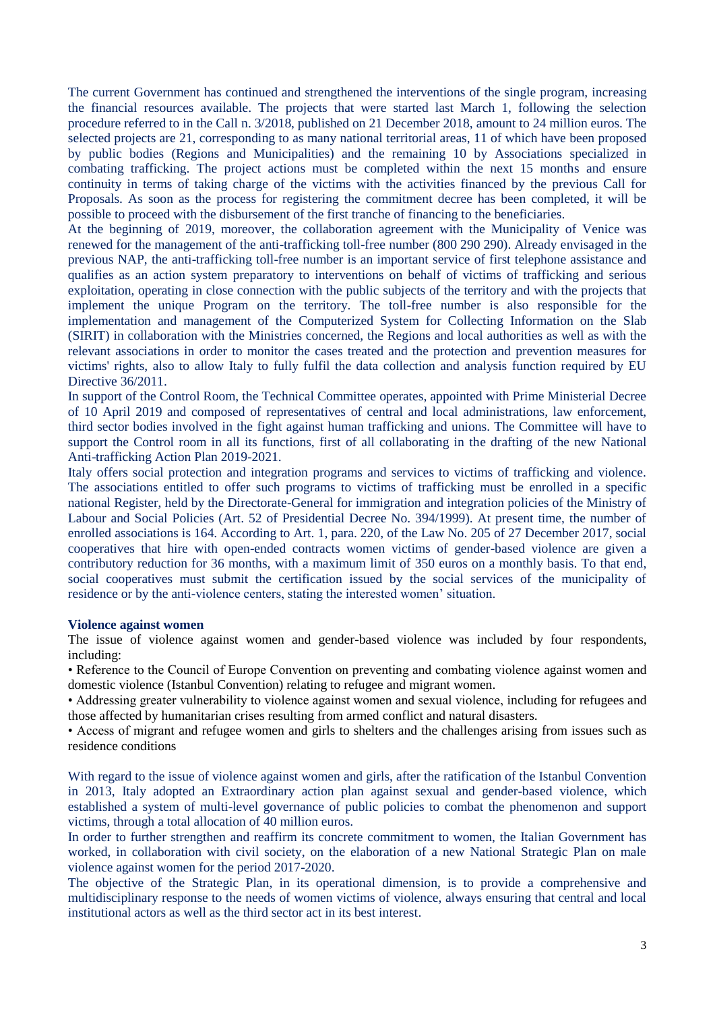The current Government has continued and strengthened the interventions of the single program, increasing the financial resources available. The projects that were started last March 1, following the selection procedure referred to in the Call n. 3/2018, published on 21 December 2018, amount to 24 million euros. The selected projects are 21, corresponding to as many national territorial areas, 11 of which have been proposed by public bodies (Regions and Municipalities) and the remaining 10 by Associations specialized in combating trafficking. The project actions must be completed within the next 15 months and ensure continuity in terms of taking charge of the victims with the activities financed by the previous Call for Proposals. As soon as the process for registering the commitment decree has been completed, it will be possible to proceed with the disbursement of the first tranche of financing to the beneficiaries.

At the beginning of 2019, moreover, the collaboration agreement with the Municipality of Venice was renewed for the management of the anti-trafficking toll-free number (800 290 290). Already envisaged in the previous NAP, the anti-trafficking toll-free number is an important service of first telephone assistance and qualifies as an action system preparatory to interventions on behalf of victims of trafficking and serious exploitation, operating in close connection with the public subjects of the territory and with the projects that implement the unique Program on the territory. The toll-free number is also responsible for the implementation and management of the Computerized System for Collecting Information on the Slab (SIRIT) in collaboration with the Ministries concerned, the Regions and local authorities as well as with the relevant associations in order to monitor the cases treated and the protection and prevention measures for victims' rights, also to allow Italy to fully fulfil the data collection and analysis function required by EU Directive  $36/2011$ .

In support of the Control Room, the Technical Committee operates, appointed with Prime Ministerial Decree of 10 April 2019 and composed of representatives of central and local administrations, law enforcement, third sector bodies involved in the fight against human trafficking and unions. The Committee will have to support the Control room in all its functions, first of all collaborating in the drafting of the new National Anti-trafficking Action Plan 2019-2021.

Italy offers social protection and integration programs and services to victims of trafficking and violence. The associations entitled to offer such programs to victims of trafficking must be enrolled in a specific national Register, held by the Directorate-General for immigration and integration policies of the Ministry of Labour and Social Policies (Art. 52 of Presidential Decree No. 394/1999). At present time, the number of enrolled associations is 164. According to Art. 1, para. 220, of the Law No. 205 of 27 December 2017, social cooperatives that hire with open-ended contracts women victims of gender-based violence are given a contributory reduction for 36 months, with a maximum limit of 350 euros on a monthly basis. To that end, social cooperatives must submit the certification issued by the social services of the municipality of residence or by the anti-violence centers, stating the interested women' situation.

#### **Violence against women**

The issue of violence against women and gender-based violence was included by four respondents, including:

• Reference to the Council of Europe Convention on preventing and combating violence against women and domestic violence (Istanbul Convention) relating to refugee and migrant women.

• Addressing greater vulnerability to violence against women and sexual violence, including for refugees and those affected by humanitarian crises resulting from armed conflict and natural disasters.

• Access of migrant and refugee women and girls to shelters and the challenges arising from issues such as residence conditions

With regard to the issue of violence against women and girls, after the ratification of the Istanbul Convention in 2013, Italy adopted an Extraordinary action plan against sexual and gender-based violence, which established a system of multi-level governance of public policies to combat the phenomenon and support victims, through a total allocation of 40 million euros.

In order to further strengthen and reaffirm its concrete commitment to women, the Italian Government has worked, in collaboration with civil society, on the elaboration of a new National Strategic Plan on male violence against women for the period 2017-2020.

The objective of the Strategic Plan, in its operational dimension, is to provide a comprehensive and multidisciplinary response to the needs of women victims of violence, always ensuring that central and local institutional actors as well as the third sector act in its best interest.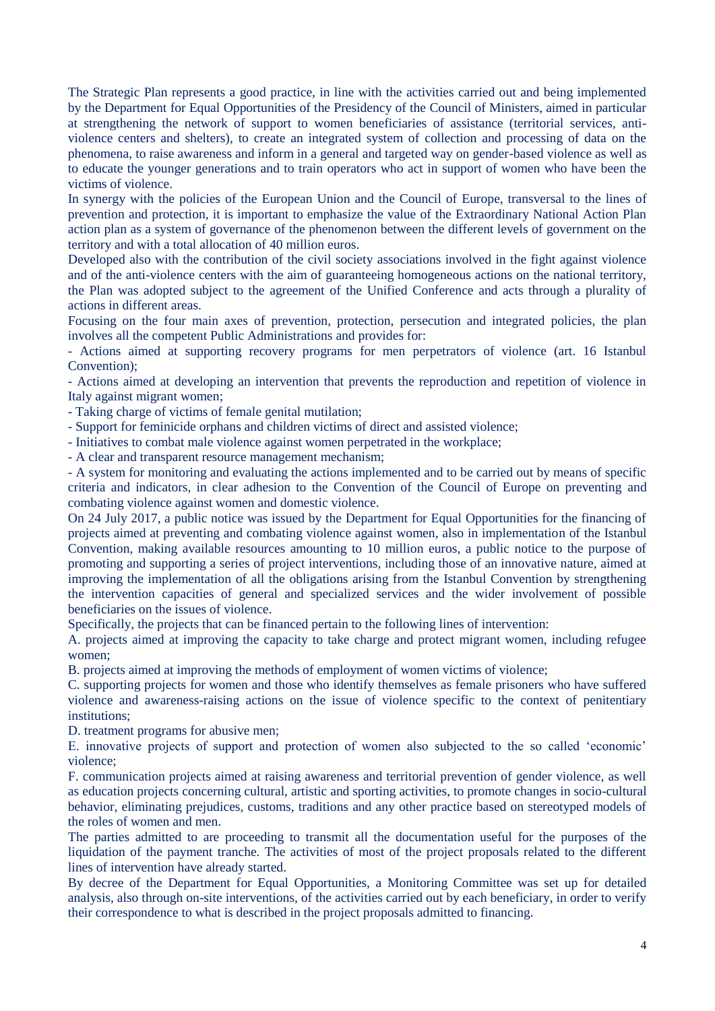The Strategic Plan represents a good practice, in line with the activities carried out and being implemented by the Department for Equal Opportunities of the Presidency of the Council of Ministers, aimed in particular at strengthening the network of support to women beneficiaries of assistance (territorial services, antiviolence centers and shelters), to create an integrated system of collection and processing of data on the phenomena, to raise awareness and inform in a general and targeted way on gender-based violence as well as to educate the younger generations and to train operators who act in support of women who have been the victims of violence.

In synergy with the policies of the European Union and the Council of Europe, transversal to the lines of prevention and protection, it is important to emphasize the value of the Extraordinary National Action Plan action plan as a system of governance of the phenomenon between the different levels of government on the territory and with a total allocation of 40 million euros.

Developed also with the contribution of the civil society associations involved in the fight against violence and of the anti-violence centers with the aim of guaranteeing homogeneous actions on the national territory, the Plan was adopted subject to the agreement of the Unified Conference and acts through a plurality of actions in different areas.

Focusing on the four main axes of prevention, protection, persecution and integrated policies, the plan involves all the competent Public Administrations and provides for:

- Actions aimed at supporting recovery programs for men perpetrators of violence (art. 16 Istanbul Convention);

- Actions aimed at developing an intervention that prevents the reproduction and repetition of violence in Italy against migrant women;

- Taking charge of victims of female genital mutilation;

- Support for feminicide orphans and children victims of direct and assisted violence;

- Initiatives to combat male violence against women perpetrated in the workplace;

- A clear and transparent resource management mechanism;

- A system for monitoring and evaluating the actions implemented and to be carried out by means of specific criteria and indicators, in clear adhesion to the Convention of the Council of Europe on preventing and combating violence against women and domestic violence.

On 24 July 2017, a public notice was issued by the Department for Equal Opportunities for the financing of projects aimed at preventing and combating violence against women, also in implementation of the Istanbul Convention, making available resources amounting to 10 million euros, a public notice to the purpose of promoting and supporting a series of project interventions, including those of an innovative nature, aimed at improving the implementation of all the obligations arising from the Istanbul Convention by strengthening the intervention capacities of general and specialized services and the wider involvement of possible beneficiaries on the issues of violence.

Specifically, the projects that can be financed pertain to the following lines of intervention:

A. projects aimed at improving the capacity to take charge and protect migrant women, including refugee women;

B. projects aimed at improving the methods of employment of women victims of violence;

C. supporting projects for women and those who identify themselves as female prisoners who have suffered violence and awareness-raising actions on the issue of violence specific to the context of penitentiary institutions;

D. treatment programs for abusive men;

E. innovative projects of support and protection of women also subjected to the so called 'economic' violence;

F. communication projects aimed at raising awareness and territorial prevention of gender violence, as well as education projects concerning cultural, artistic and sporting activities, to promote changes in socio-cultural behavior, eliminating prejudices, customs, traditions and any other practice based on stereotyped models of the roles of women and men.

The parties admitted to are proceeding to transmit all the documentation useful for the purposes of the liquidation of the payment tranche. The activities of most of the project proposals related to the different lines of intervention have already started.

By decree of the Department for Equal Opportunities, a Monitoring Committee was set up for detailed analysis, also through on-site interventions, of the activities carried out by each beneficiary, in order to verify their correspondence to what is described in the project proposals admitted to financing.